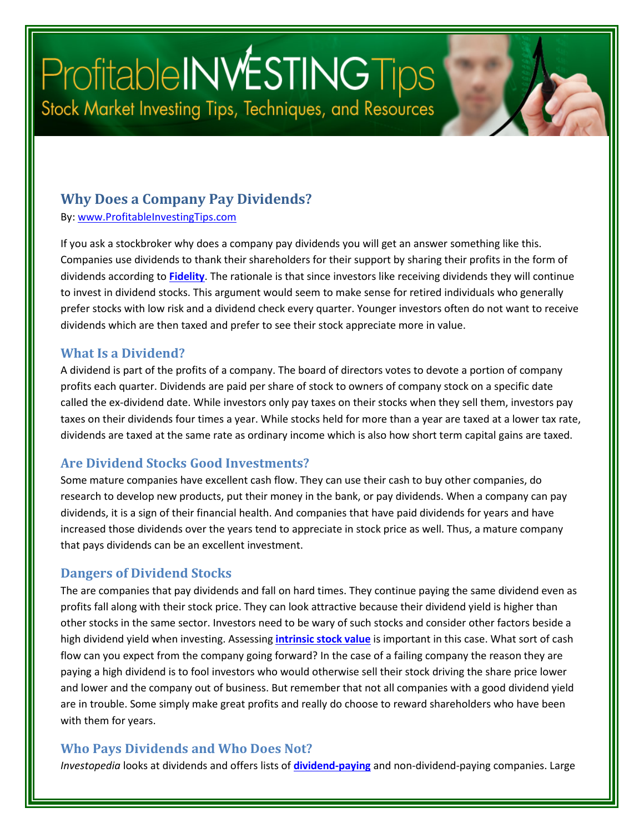# ProfitableINWESTINGTips Stock Market Investing Tips, Techniques, and Resources

#### **Why Does a Company Pay Dividends?**

By: [www.ProfitableInvestingTips.com](http://www.profitableinvestingtips.com/)

If you ask a stockbroker why does a company pay dividends you will get an answer something like this. Companies use dividends to thank their shareholders for their support by sharing their profits in the form of dividends according to **[Fidelity](https://article.page/Vol460)**. The rationale is that since investors like receiving dividends they will continue to invest in dividend stocks. This argument would seem to make sense for retired individuals who generally prefer stocks with low risk and a dividend check every quarter. Younger investors often do not want to receive dividends which are then taxed and prefer to see their stock appreciate more in value.

#### **What Is a Dividend?**

A dividend is part of the profits of a company. The board of directors votes to devote a portion of company profits each quarter. Dividends are paid per share of stock to owners of company stock on a specific date called the ex-dividend date. While investors only pay taxes on their stocks when they sell them, investors pay taxes on their dividends four times a year. While stocks held for more than a year are taxed at a lower tax rate, dividends are taxed at the same rate as ordinary income which is also how short term capital gains are taxed.

#### **Are Dividend Stocks Good Investments?**

Some mature companies have excellent cash flow. They can use their cash to buy other companies, do research to develop new products, put their money in the bank, or pay dividends. When a company can pay dividends, it is a sign of their financial health. And companies that have paid dividends for years and have increased those dividends over the years tend to appreciate in stock price as well. Thus, a mature company that pays dividends can be an excellent investment.

#### **Dangers of Dividend Stocks**

The are companies that pay dividends and fall on hard times. They continue paying the same dividend even as profits fall along with their stock price. They can look attractive because their dividend yield is higher than other stocks in the same sector. Investors need to be wary of such stocks and consider other factors beside a high dividend yield when investing. Assessing **[intrinsic stock value](https://article.page/Vol462)** is important in this case. What sort of cash flow can you expect from the company going forward? In the case of a failing company the reason they are paying a high dividend is to fool investors who would otherwise sell their stock driving the share price lower and lower and the company out of business. But remember that not all companies with a good dividend yield are in trouble. Some simply make great profits and really do choose to reward shareholders who have been with them for years.

#### **Who Pays Dividends and Who Does Not?**

*Investopedia* looks at dividends and offers lists of **[dividend-paying](https://www.investopedia.com/articles/investing/082015/3-biggest-misconceptions-dividend-stocks.asp)** and non-dividend-paying companies. Large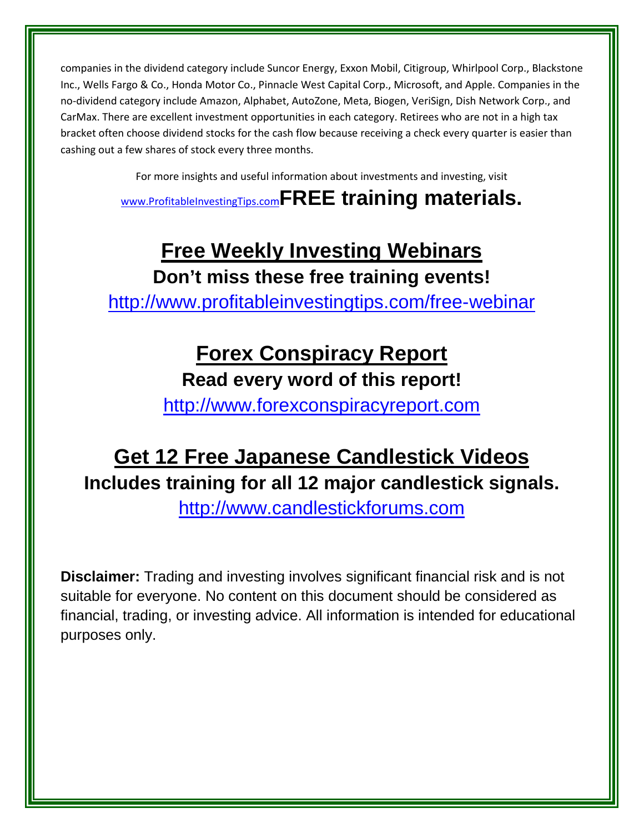companies in the dividend category include Suncor Energy, Exxon Mobil, Citigroup, Whirlpool Corp., Blackstone Inc., Wells Fargo & Co., Honda Motor Co., Pinnacle West Capital Corp., Microsoft, and Apple. Companies in the no-dividend category include Amazon, Alphabet, AutoZone, Meta, Biogen, VeriSign, Dish Network Corp., and CarMax. There are excellent investment opportunities in each category. Retirees who are not in a high tax bracket often choose dividend stocks for the cash flow because receiving a check every quarter is easier than cashing out a few shares of stock every three months.

For more insights and useful information about investments and investing, visit

[www.ProfitableInvestingTips.com](http://www.profitableinvestingtips.com/)**FREE training materials.**

### **Free Weekly Investing Webinars Don't miss these free training events!**

<http://www.profitableinvestingtips.com/free-webinar>

### **Forex Conspiracy Report**

### **Read every word of this report!**

[http://www.forexconspiracyreport.com](http://www.forexconspiracyreport.com/)

## **Get 12 Free Japanese Candlestick Videos Includes training for all 12 major candlestick signals.**

[http://www.candlestickforums.com](http://www.candlestickforums.com/)

**Disclaimer:** Trading and investing involves significant financial risk and is not suitable for everyone. No content on this document should be considered as financial, trading, or investing advice. All information is intended for educational purposes only.